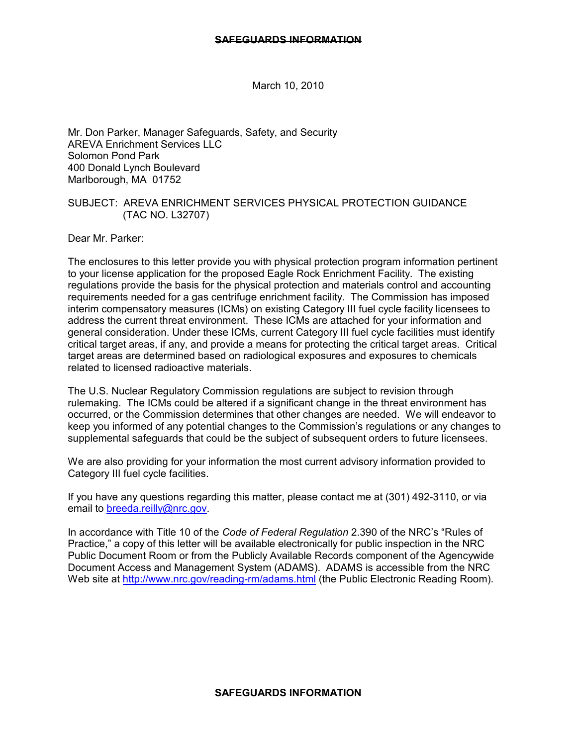March 10, 2010

Mr. Don Parker, Manager Safeguards, Safety, and Security AREVA Enrichment Services LLC Solomon Pond Park 400 Donald Lynch Boulevard Marlborough, MA 01752

## SUBJECT: AREVA ENRICHMENT SERVICES PHYSICAL PROTECTION GUIDANCE (TAC NO. L32707)

Dear Mr. Parker:

The enclosures to this letter provide you with physical protection program information pertinent to your license application for the proposed Eagle Rock Enrichment Facility. The existing regulations provide the basis for the physical protection and materials control and accounting requirements needed for a gas centrifuge enrichment facility. The Commission has imposed interim compensatory measures (ICMs) on existing Category III fuel cycle facility licensees to address the current threat environment. These ICMs are attached for your information and general consideration. Under these ICMs, current Category III fuel cycle facilities must identify critical target areas, if any, and provide a means for protecting the critical target areas. Critical target areas are determined based on radiological exposures and exposures to chemicals related to licensed radioactive materials.

The U.S. Nuclear Regulatory Commission regulations are subject to revision through rulemaking. The ICMs could be altered if a significant change in the threat environment has occurred, or the Commission determines that other changes are needed. We will endeavor to keep you informed of any potential changes to the Commission's regulations or any changes to supplemental safeguards that could be the subject of subsequent orders to future licensees.

We are also providing for your information the most current advisory information provided to Category III fuel cycle facilities.

If you have any questions regarding this matter, please contact me at (301) 492-3110, or via email to breeda.reilly@nrc.gov.

In accordance with Title 10 of the *Code of Federal Regulation* 2.390 of the NRC's "Rules of Practice," a copy of this letter will be available electronically for public inspection in the NRC Public Document Room or from the Publicly Available Records component of the Agencywide Document Access and Management System (ADAMS). ADAMS is accessible from the NRC Web site at http://www.nrc.gov/reading-rm/adams.html (the Public Electronic Reading Room).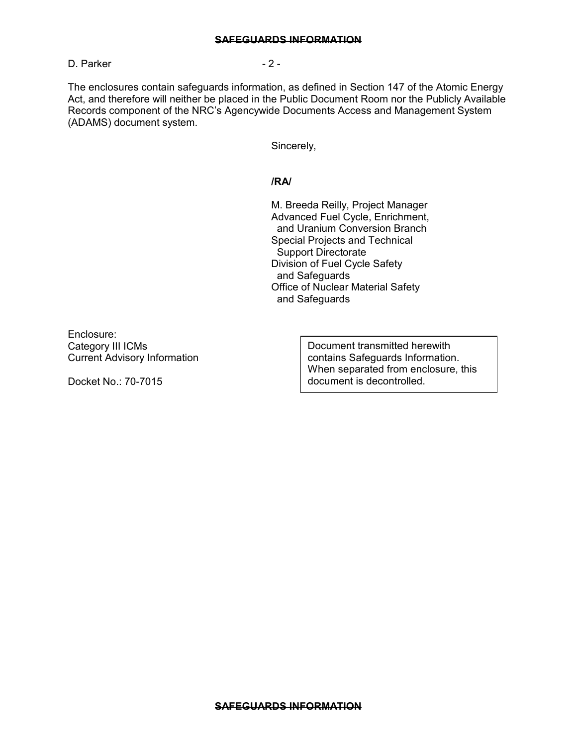D. Parker - 2 -

The enclosures contain safeguards information, as defined in Section 147 of the Atomic Energy Act, and therefore will neither be placed in the Public Document Room nor the Publicly Available Records component of the NRC's Agencywide Documents Access and Management System (ADAMS) document system.

Sincerely,

## **/RA/**

M. Breeda Reilly, Project Manager Advanced Fuel Cycle, Enrichment, and Uranium Conversion Branch Special Projects and Technical Support Directorate Division of Fuel Cycle Safety and Safeguards Office of Nuclear Material Safety and Safeguards

Enclosure: Category III ICMs Current Advisory Information

Docket No.: 70-7015

Document transmitted herewith contains Safeguards Information. When separated from enclosure, this document is decontrolled.